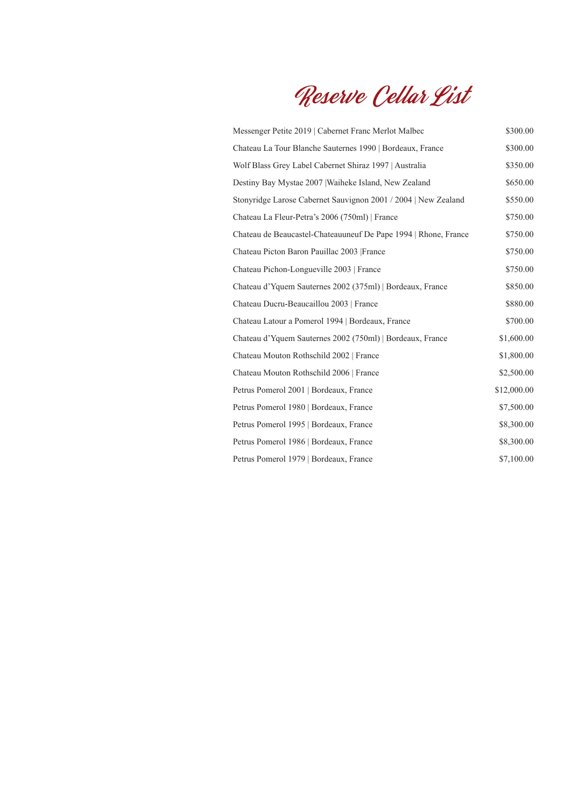Reserve Cellar List

| Messenger Petite 2019   Cabernet Franc Merlot Malbec            | \$300.00    |
|-----------------------------------------------------------------|-------------|
| Chateau La Tour Blanche Sauternes 1990   Bordeaux, France       | \$300.00    |
| Wolf Blass Grey Label Cabernet Shiraz 1997   Australia          | \$350.00    |
| Destiny Bay Mystae 2007   Waiheke Island, New Zealand           | \$650.00    |
| Stonyridge Larose Cabernet Sauvignon 2001 / 2004   New Zealand  | \$550.00    |
| Chateau La Fleur-Petra's 2006 (750ml)   France                  | \$750.00    |
| Chateau de Beaucastel-Chateauuneuf De Pape 1994   Rhone, France | \$750.00    |
| Chateau Picton Baron Pauillac 2003   France                     | \$750.00    |
| Chateau Pichon-Longueville 2003   France                        | \$750.00    |
| Chateau d'Yquem Sauternes 2002 (375ml)   Bordeaux, France       | \$850.00    |
| Chateau Ducru-Beaucaillou 2003   France                         | \$880.00    |
| Chateau Latour a Pomerol 1994   Bordeaux, France                | \$700.00    |
| Chateau d'Yquem Sauternes 2002 (750ml)   Bordeaux, France       | \$1,600.00  |
| Chateau Mouton Rothschild 2002   France                         | \$1,800.00  |
| Chateau Mouton Rothschild 2006   France                         | \$2,500.00  |
| Petrus Pomerol 2001   Bordeaux, France                          | \$12,000.00 |
| Petrus Pomerol 1980   Bordeaux, France                          | \$7,500.00  |
| Petrus Pomerol 1995   Bordeaux, France                          | \$8,300.00  |
| Petrus Pomerol 1986   Bordeaux, France                          | \$8,300.00  |
| Petrus Pomerol 1979   Bordeaux, France                          | \$7,100.00  |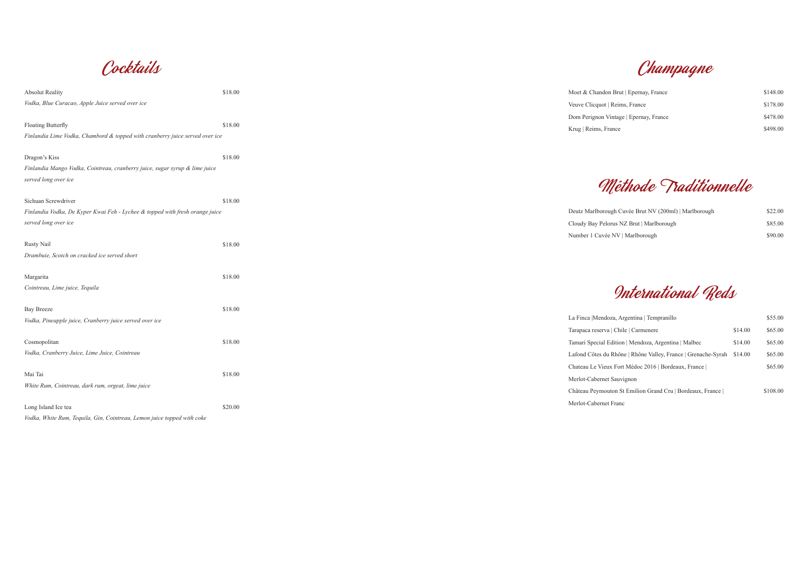Champagne

Cocktails

| <b>Absolut Reality</b>                                                       | \$18.00 | Moet & Chandon Brut   Epernay, France                                 | \$148.00 |
|------------------------------------------------------------------------------|---------|-----------------------------------------------------------------------|----------|
| Vodka, Blue Curacao, Apple Juice served over ice                             |         | Veuve Clicquot   Reims, France                                        | \$178.00 |
|                                                                              |         | Dom Perignon Vintage   Epernay, France                                | \$478.00 |
| Floating Butterfly                                                           | \$18.00 | Krug   Reims, France                                                  | \$498.00 |
| Finlandia Lime Vodka, Chambord & topped with cranberry juice served over ice |         |                                                                       |          |
| Dragon's Kiss                                                                | \$18.00 |                                                                       |          |
| Finlandia Mango Vodka, Cointreau, cranberry juice, sugar syrup & lime juice  |         |                                                                       |          |
| served long over ice                                                         |         | Méthode Traditionnelle                                                |          |
| Sichuan Screwdriver                                                          | \$18.00 |                                                                       |          |
| Finlandia Vodka, De Kyper Kwai Feh - Lychee & topped with fresh orange juice |         | Deutz Marlborough Cuvée Brut NV (200ml)   Marlborough                 | \$22.00  |
| served long over ice                                                         |         | Cloudy Bay Pelorus NZ Brut   Marlborough                              | \$85.00  |
|                                                                              |         | Number 1 Cuvée NV   Marlborough                                       | \$90.00  |
| <b>Rusty Nail</b>                                                            | \$18.00 |                                                                       |          |
| Drambuie, Scotch on cracked ice served short                                 |         |                                                                       |          |
| Margarita                                                                    | \$18.00 |                                                                       |          |
| Cointreau, Lime juice, Tequila                                               |         | International Reds                                                    |          |
| <b>Bay Breeze</b>                                                            | \$18.00 |                                                                       |          |
| Vodka, Pineapple juice, Cranberry juice served over ice                      |         | La Finca   Mendoza, Argentina   Tempranillo                           | \$55.00  |
|                                                                              |         | Tarapaca reserva   Chile   Carmenere<br>\$14.00                       | \$65.00  |
| Cosmopolitan                                                                 | \$18.00 | Tamari Special Edition   Mendoza, Argentina   Malbec<br>\$14.00       | \$65.00  |
| Vodka, Cranberry Juice, Lime Juice, Cointreau                                |         | Lafond Côtes du Rhône   Rhône Valley, France   Grenache-Syrah \$14.00 | \$65.00  |
|                                                                              |         | Chateau Le Vieux Fort Médoc 2016   Bordeaux, France                   | \$65.00  |
| Mai Tai                                                                      | \$18.00 | Merlot-Cabernet Sauvignon                                             |          |
| White Rum, Cointreau, dark rum, orgeat, lime juice                           |         | Château Peymouton St Emilion Grand Cru   Bordeaux, France             | \$108.00 |
| Long Island Ice tea                                                          | \$20.00 | Merlot-Cabernet Franc                                                 |          |
| Vodka, White Rum, Tequila, Gin, Cointreau, Lemon juice topped with coke      |         |                                                                       |          |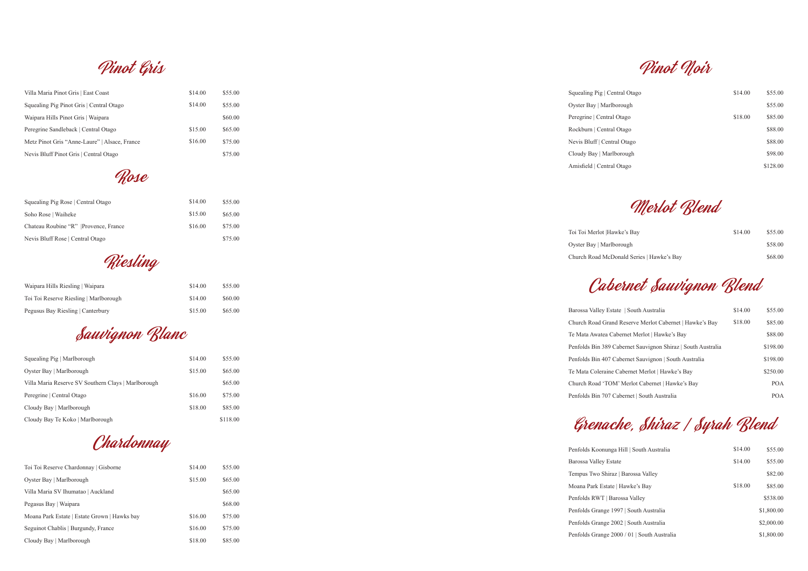Riesling

| Waipara Hills Riesling   Waipara       | \$14.00 | \$55.00 |
|----------------------------------------|---------|---------|
| Toi Toi Reserve Riesling   Marlborough | \$14.00 | \$60.00 |
| Pegusus Bay Riesling   Canterbury      | \$15.00 | \$65.00 |

## Pinot Gris

| \$14.00 | \$55.00 |
|---------|---------|
| \$14.00 | \$55.00 |
|         | \$60.00 |
| \$15.00 | \$65.00 |
| \$16.00 | \$75.00 |
|         | \$75.00 |
|         |         |

Rose

| Squealing Pig Rose   Central Otago    | \$14.00 | \$55.00 |
|---------------------------------------|---------|---------|
| Soho Rose   Waiheke                   | \$15.00 | \$65.00 |
| Chateau Roubine "R"  Provence, France | \$16.00 | \$75.00 |
| Nevis Bluff Rose   Central Otago      |         | \$75.00 |

Pinot Noir

| entral Otago | \$14.00 | \$55.00  |
|--------------|---------|----------|
| lborough     |         | \$55.00  |
| al Otago     | \$18.00 | \$85.00  |
| al Otago     |         | \$88.00  |
| tral Otago   |         | \$88.00  |
| rlborough    |         | \$98.00  |
| al Otago     |         | \$128.00 |
|              |         |          |

Merlot Blend

| awke's Bay                  | \$14.00 | \$55.00 |
|-----------------------------|---------|---------|
| borough                     |         | \$58.00 |
| Donald Series   Hawke's Bay |         | \$68.00 |

Cabernet Sauvignon Blend

| state   South Australia                     | \$14.00 | \$55.00    |
|---------------------------------------------|---------|------------|
| ind Reserve Merlot Cabernet   Hawke's Bay   | \$18.00 | \$85.00    |
| Cabernet Merlot   Hawke's Bay               |         | \$88.00    |
| Cabernet Sauvignon Shiraz   South Australia |         | \$198.00   |
| Cabernet Sauvignon   South Australia        |         | \$198.00   |
| e Cabernet Merlot   Hawke's Bay             |         | \$250.00   |
| )M' Merlot Cabernet   Hawke's Bay           |         | <b>POA</b> |
| Cabernet   South Australia                  |         | POA        |

Grenache, Shiraz / Syrah Blend

Penfolds Koonun Barossa Valley Es Tempus Two Shi Moana Park Estat Penfolds RWT | E Penfolds Grange Penfolds Grange Penfolds Grange

| ga Hill   South Australia   | \$14.00 | \$55.00    |
|-----------------------------|---------|------------|
| state                       | \$14.00 | \$55.00    |
| raz   Barossa Valley        |         | \$82.00    |
| te   Hawke's Bav            | \$18.00 | \$85.00    |
| Barossa Vallev              |         | \$538.00   |
| 1997   South Australia      |         | \$1,800.00 |
| 2002   South Australia      |         | \$2,000.00 |
| 2000 / 01   South Australia |         | \$1,800.00 |

Sauvignon Blanc

| Squealing Pig   Marlborough                         | \$14.00 | \$55.00  |
|-----------------------------------------------------|---------|----------|
| Oyster Bay   Marlborough                            | \$15.00 | \$65.00  |
| Villa Maria Reserve SV Southern Clays   Marlborough |         | \$65.00  |
| Peregrine   Central Otago                           | \$16.00 | \$75.00  |
| Cloudy Bay   Marlborough                            | \$18.00 | \$85.00  |
| Cloudy Bay Te Koko   Marlborough                    |         | \$118.00 |

Chardonnay

| Toi Toi Reserve Chardonnay   Gisborne        | \$14.00 | \$55.00 |
|----------------------------------------------|---------|---------|
| Oyster Bay   Marlborough                     | \$15.00 | \$65.00 |
| Villa Maria SV Ihumatao   Auckland           |         | \$65.00 |
| Pegasus Bay   Waipara                        |         | \$68.00 |
| Moana Park Estate   Estate Grown   Hawks bay | \$16.00 | \$75.00 |
| Seguinot Chablis   Burgundy, France          | \$16.00 | \$75.00 |
| Cloudy Bay   Marlborough                     | \$18.00 | \$85.00 |

Squealing Pig  $|$  Ce Oyster Bay | Marl Peregrine | Centra Rockburn | Centra Nevis Bluff | Cent Cloudy Bay | Mar Amisfield | Centra

Toi Toi Merlot |Ha Oyster Bay | Marl Church Road McI

Barossa Valley Es Church Road Gra Te Mata Awatea 0 Penfolds Bin 389 Penfolds Bin 407 Te Mata Coleraine Church Road 'TO Penfolds Bin 707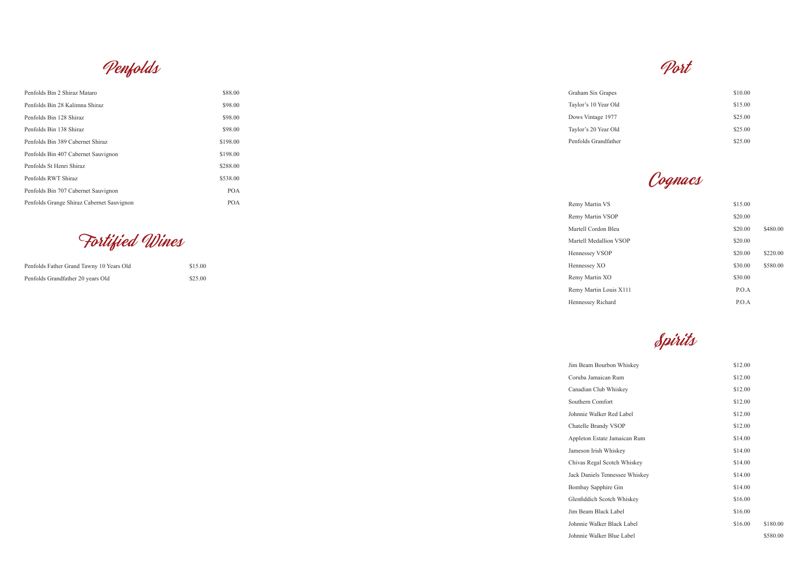Port

Remy Martin VS Remy Martin VSO Martell Cordon B Martell Medallion Hennessey VSOP Hennessey XO Remy Martin XO Remy Martin Lou Hennessey Richar

Jim Beam Bourbo Coruba Jamaican Canadian Club W Southern Comfor Johnnie Walker R Chatelle Brandy Appleton Estate J Jameson Irish Wh Chivas Regal Sco Jack Daniels Tenn Bombay Sapphire Glenfiddich Scotc Jim Beam Black Johnnie Walker E Johnnie Walker B

| es   | \$10.00 |
|------|---------|
| Эld  | \$15.00 |
| 77   | \$25.00 |
| Эld  | \$25.00 |
| ther | \$25.00 |
|      |         |

Cognacs

|           | \$15.00 |          |
|-----------|---------|----------|
| <b>OP</b> | \$20.00 |          |
| 31eu      | \$20.00 | \$480.00 |
| n VSOP    | \$20.00 |          |
|           | \$20.00 | \$220.00 |
|           | \$30.00 | \$580.00 |
|           | \$30.00 |          |
| uis X111  | P.O.A   |          |
| rd        | P.O.A   |          |

Spirits

| on Whiskey     | \$12.00 |          |
|----------------|---------|----------|
| Rum            | \$12.00 |          |
| hiskey         | \$12.00 |          |
| t              | \$12.00 |          |
| led Label      | \$12.00 |          |
| <b>VSOP</b>    | \$12.00 |          |
| Jamaican Rum   | \$14.00 |          |
| hiskey         | \$14.00 |          |
| otch Whiskey   | \$14.00 |          |
| nessee Whiskey | \$14.00 |          |
| e Gin          | \$14.00 |          |
| ch Whiskey     | \$16.00 |          |
| Label          | \$16.00 |          |
| Black Label    | \$16.00 | \$180.00 |
| Blue Label     |         | \$580.00 |

Penfolds

| Penfolds Bin 2 Shiraz Mataro              | \$88.00    |
|-------------------------------------------|------------|
| Penfolds Bin 28 Kalimna Shiraz            | \$98.00    |
| Penfolds Bin 128 Shiraz                   | \$98.00    |
| Penfolds Bin 138 Shiraz                   | \$98.00    |
| Penfolds Bin 389 Cabernet Shiraz          | \$198.00   |
| Penfolds Bin 407 Cabernet Sauvignon       | \$198.00   |
| Penfolds St Henri Shiraz                  | \$288.00   |
| Penfolds RWT Shiraz                       | \$538.00   |
| Penfolds Bin 707 Cabernet Sauvignon       | <b>POA</b> |
| Penfolds Grange Shiraz Cabernet Sauvignon | <b>POA</b> |

Fortified Wines

| Penfolds Father Grand Tawny 10 Years Old | \$15.00 |
|------------------------------------------|---------|
| Penfolds Grandfather 20 years Old        | \$25.00 |

Graham Six Grape Taylor's 10 Year O Dows Vintage 197 Taylor's 20 Year O Penfolds Grandfat